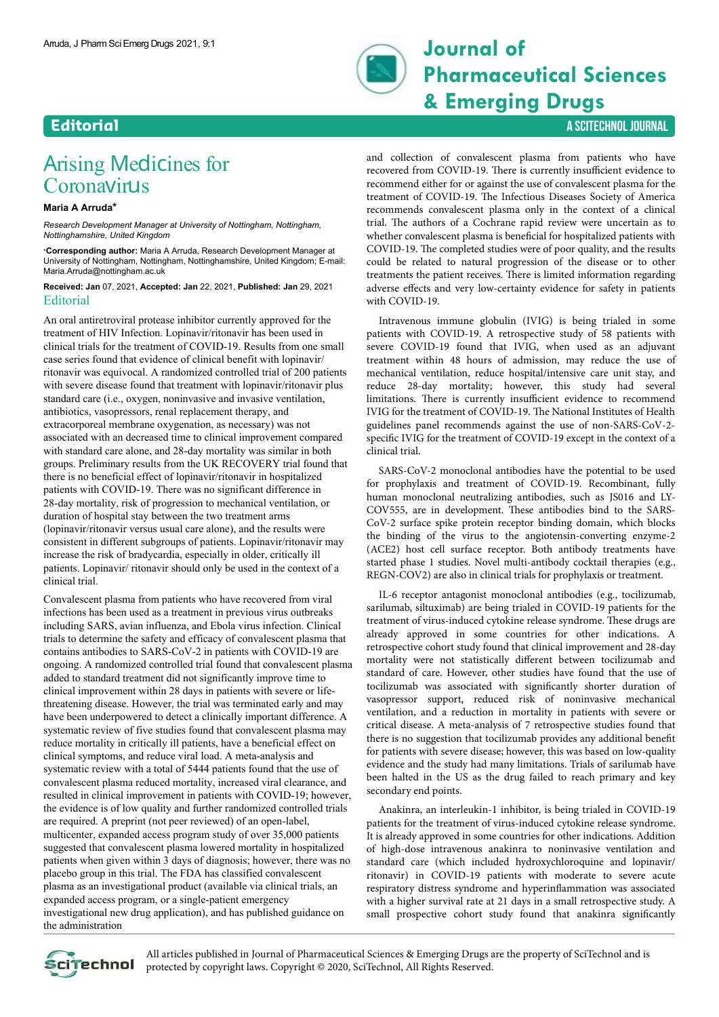

## **Journal of Pharmaceutical Sciences & Emerging Drugs**

## **Editorial** A SCITECHNOL JOURNAL A SCITECHNOL JOURNAL A SCITECHNOL JOURNAL A SCITECHNOL JOURNAL A SCITECHNOL

## Arising Medicines for **Coronavirus**

## **Maria A Arruda\***

*Research Development Manager at University of Nottingham, Nottingham, Nottinghamshire, United Kingdom*

\***Corresponding author:** Maria A Arruda, Research Development Manager at University of Nottingham, Nottingham, Nottinghamshire, United Kingdom; E-mail: Maria.Arruda@nottingham.ac.uk

**Received: Jan** 07, 2021, **Accepted: Jan** 22, 2021, **Published: Jan** 29, 2021 **Editorial** 

An oral antiretroviral protease inhibitor currently approved for the treatment of HIV Infection. Lopinavir/ritonavir has been used in clinical trials for the treatment of COVID-19. Results from one small case series found that evidence of clinical benefit with lopinavir/ ritonavir was equivocal. A randomized controlled trial of 200 patients with severe disease found that treatment with lopinavir/ritonavir plus standard care (i.e., oxygen, noninvasive and invasive ventilation, antibiotics, vasopressors, renal replacement therapy, and extracorporeal membrane oxygenation, as necessary) was not associated with an decreased time to clinical improvement compared with standard care alone, and 28-day mortality was similar in both groups. Preliminary results from the UK RECOVERY trial found that there is no beneficial effect of lopinavir/ritonavir in hospitalized patients with COVID-19. There was no significant difference in 28-day mortality, risk of progression to mechanical ventilation, or duration of hospital stay between the two treatment arms (lopinavir/ritonavir versus usual care alone), and the results were consistent in different subgroups of patients. Lopinavir/ritonavir may increase the risk of bradycardia, especially in older, critically ill patients. Lopinavir/ ritonavir should only be used in the context of a clinical trial.

Convalescent plasma from patients who have recovered from viral infections has been used as a treatment in previous virus outbreaks including SARS, avian influenza, and Ebola virus infection. Clinical trials to determine the safety and efficacy of convalescent plasma that contains antibodies to SARS-CoV-2 in patients with COVID-19 are ongoing. A randomized controlled trial found that convalescent plasma added to standard treatment did not significantly improve time to clinical improvement within 28 days in patients with severe or lifethreatening disease. However, the trial was terminated early and may have been underpowered to detect a clinically important difference. A systematic review of five studies found that convalescent plasma may reduce mortality in critically ill patients, have a beneficial effect on clinical symptoms, and reduce viral load. A meta-analysis and systematic review with a total of 5444 patients found that the use of convalescent plasma reduced mortality, increased viral clearance, and resulted in clinical improvement in patients with COVID-19; however, the evidence is of low quality and further randomized controlled trials are required. A preprint (not peer reviewed) of an open-label, multicenter, expanded access program study of over 35,000 patients suggested that convalescent plasma lowered mortality in hospitalized patients when given within 3 days of diagnosis; however, there was no placebo group in this trial. The FDA has classified convalescent plasma as an investigational product (available via clinical trials, an expanded access program, or a single-patient emergency investigational new drug application), and has published guidance on the administration

and collection of convalescent plasma from patients who have recovered from COVID-19. There is currently insufficient evidence to recommend either for or against the use of convalescent plasma for the treatment of COVID-19. Нe Infectious Diseases Society of America recommends convalescent plasma only in the context of a clinical trial. Нe authors of a Cochrane rapid review were uncertain as to whether convalescent plasma is beneficial for hospitalized patients with COVID-19. Нe completed studies were of poor quality, and the results could be related to natural progression of the disease or to other treatments the patient receives. Нere is limited information regarding adverse effects and very low-certainty evidence for safety in patients with COVID-19.

Intravenous immune globulin (IVIG) is being trialed in some patients with COVID-19. A retrospective study of 58 patients with severe COVID-19 found that IVIG, when used as an adjuvant treatment within 48 hours of admission, may reduce the use of mechanical ventilation, reduce hospital/intensive care unit stay, and reduce 28-day mortality; however, this study had several limitations. There is currently insufficient evidence to recommend IVIG for the treatment of COVID-19. Нe National Institutes of Health guidelines panel recommends against the use of non-SARS-CoV-2specific IVIG for the treatment of COVID-19 except in the context of a clinical trial.

SARS-CoV-2 monoclonal antibodies have the potential to be used for prophylaxis and treatment of COVID-19. Recombinant, fully human monoclonal neutralizing antibodies, such as JS016 and LY-COV555, are in development. Нese antibodies bind to the SARS-CoV-2 surface spike protein receptor binding domain, which blocks the binding of the virus to the angiotensin-converting enzyme-2 (ACE2) host cell surface receptor. Both antibody treatments have started phase 1 studies. Novel multi-antibody cocktail therapies (e.g., REGN-COV2) are also in clinical trials for prophylaxis or treatment.

IL-6 receptor antagonist monoclonal antibodies (e.g., tocilizumab, sarilumab, siltuximab) are being trialed in COVID-19 patients for the treatment of virus-induced cytokine release syndrome. Нese drugs are already approved in some countries for other indications. A retrospective cohort study found that clinical improvement and 28-day mortality were not statistically different between tocilizumab and standard of care. However, other studies have found that the use of tocilizumab was associated with significantly shorter duration of vasopressor support, reduced risk of noninvasive mechanical ventilation, and a reduction in mortality in patients with severe or critical disease. A meta-analysis of 7 retrospective studies found that there is no suggestion that tocilizumab provides any additional benefit for patients with severe disease; however, this was based on low-quality evidence and the study had many limitations. Trials of sarilumab have been halted in the US as the drug failed to reach primary and key secondary end points.

Anakinra, an interleukin-1 inhibitor, is being trialed in COVID-19 patients for the treatment of virus-induced cytokine release syndrome. It is already approved in some countries for other indications. Addition of high-dose intravenous anakinra to noninvasive ventilation and standard care (which included hydroxychloroquine and lopinavir/ ritonavir) in COVID-19 patients with moderate to severe acute respiratory distress syndrome and hyperinflammation was associated with a higher survival rate at 21 days in a small retrospective study. A small prospective cohort study found that anakinra significantly



All articles published in Journal of Pharmaceutical Sciences & Emerging Drugs are the property of SciTechnol and is SciteChnol protected by copyright laws. Copyright © 2020, SciTechnol, All Rights Reserved.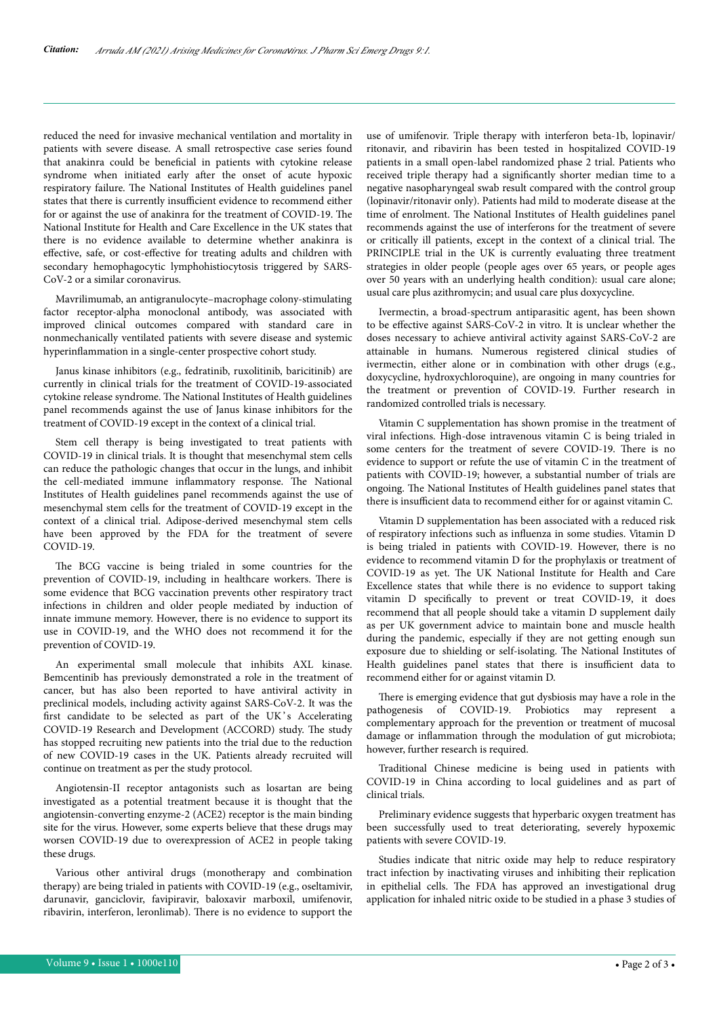reduced the need for invasive mechanical ventilation and mortality in patients with severe disease. A small retrospective case series found that anakinra could be beneficial in patients with cytokine release syndrome when initiated early after the onset of acute hypoxic respiratory failure. Нe National Institutes of Health guidelines panel states that there is currently insufficient evidence to recommend either for or against the use of anakinra for the treatment of COVID-19. Нe National Institute for Health and Care Excellence in the UK states that there is no evidence available to determine whether anakinra is effective, safe, or cost-effective for treating adults and children with secondary hemophagocytic lymphohistiocytosis triggered by SARS-CoV-2 or a similar coronavirus.

Mavrilimumab, an antigranulocyte–macrophage colony-stimulating factor receptor-alpha monoclonal antibody, was associated with improved clinical outcomes compared with standard care in nonmechanically ventilated patients with severe disease and systemic hyperinflammation in a single-center prospective cohort study.

Janus kinase inhibitors (e.g., fedratinib, ruxolitinib, baricitinib) are currently in clinical trials for the treatment of COVID-19-associated cytokine release syndrome. Нe National Institutes of Health guidelines panel recommends against the use of Janus kinase inhibitors for the treatment of COVID-19 except in the context of a clinical trial.

Stem cell therapy is being investigated to treat patients with COVID-19 in clinical trials. It is thought that mesenchymal stem cells can reduce the pathologic changes that occur in the lungs, and inhibit the cell-mediated immune inflammatory response. Нe National Institutes of Health guidelines panel recommends against the use of mesenchymal stem cells for the treatment of COVID-19 except in the context of a clinical trial. Adipose-derived mesenchymal stem cells have been approved by the FDA for the treatment of severe COVID-19.

The BCG vaccine is being trialed in some countries for the prevention of COVID-19, including in healthcare workers. Нere is some evidence that BCG vaccination prevents other respiratory tract infections in children and older people mediated by induction of innate immune memory. However, there is no evidence to support its use in COVID-19, and the WHO does not recommend it for the prevention of COVID-19.

An experimental small molecule that inhibits AXL kinase. Bemcentinib has previously demonstrated a role in the treatment of cancer, but has also been reported to have antiviral activity in preclinical models, including activity against SARS-CoV-2. It was the first candidate to be selected as part of the UK's Accelerating COVID-19 Research and Development (ACCORD) study. Нe study has stopped recruiting new patients into the trial due to the reduction of new COVID-19 cases in the UK. Patients already recruited will continue on treatment as per the study protocol.

Angiotensin-II receptor antagonists such as losartan are being investigated as a potential treatment because it is thought that the angiotensin-converting enzyme-2 (ACE2) receptor is the main binding site for the virus. However, some experts believe that these drugs may worsen COVID-19 due to overexpression of ACE2 in people taking these drugs.

Various other antiviral drugs (monotherapy and combination therapy) are being trialed in patients with COVID-19 (e.g., oseltamivir, darunavir, ganciclovir, favipiravir, baloxavir marboxil, umifenovir, ribavirin, interferon, leronlimab). Нere is no evidence to support the

use of umifenovir. Triple therapy with interferon beta-1b, lopinavir/ ritonavir, and ribavirin has been tested in hospitalized COVID-19 patients in a small open-label randomized phase 2 trial. Patients who received triple therapy had a significantly shorter median time to a negative nasopharyngeal swab result compared with the control group (lopinavir/ritonavir only). Patients had mild to moderate disease at the time of enrolment. Нe National Institutes of Health guidelines panel recommends against the use of interferons for the treatment of severe or critically ill patients, except in the context of a clinical trial. Нe PRINCIPLE trial in the UK is currently evaluating three treatment strategies in older people (people ages over 65 years, or people ages over 50 years with an underlying health condition): usual care alone; usual care plus azithromycin; and usual care plus doxycycline.

Ivermectin, a broad-spectrum antiparasitic agent, has been shown to be effective against SARS-CoV-2 in vitro. It is unclear whether the doses necessary to achieve antiviral activity against SARS-CoV-2 are attainable in humans. Numerous registered clinical studies of ivermectin, either alone or in combination with other drugs (e.g., doxycycline, hydroxychloroquine), are ongoing in many countries for the treatment or prevention of COVID-19. Further research in randomized controlled trials is necessary.

Vitamin C supplementation has shown promise in the treatment of viral infections. High-dose intravenous vitamin C is being trialed in some centers for the treatment of severe COVID-19. Нere is no evidence to support or refute the use of vitamin C in the treatment of patients with COVID-19; however, a substantial number of trials are ongoing. Нe National Institutes of Health guidelines panel states that there is insufficient data to recommend either for or against vitamin C.

Vitamin D supplementation has been associated with a reduced risk of respiratory infections such as influenza in some studies. Vitamin D is being trialed in patients with COVID-19. However, there is no evidence to recommend vitamin D for the prophylaxis or treatment of COVID-19 as yet. Нe UK National Institute for Health and Care Excellence states that while there is no evidence to support taking vitamin D specifically to prevent or treat COVID-19, it does recommend that all people should take a vitamin D supplement daily as per UK government advice to maintain bone and muscle health during the pandemic, especially if they are not getting enough sun exposure due to shielding or self-isolating. Нe National Institutes of Health guidelines panel states that there is insufficient data to recommend either for or against vitamin D.

There is emerging evidence that gut dysbiosis may have a role in the pathogenesis of COVID-19. Probiotics may represent a complementary approach for the prevention or treatment of mucosal damage or inflammation through the modulation of gut microbiota; however, further research is required.

Traditional Chinese medicine is being used in patients with COVID-19 in China according to local guidelines and as part of clinical trials.

Preliminary evidence suggests that hyperbaric oxygen treatment has been successfully used to treat deteriorating, severely hypoxemic patients with severe COVID-19.

Studies indicate that nitric oxide may help to reduce respiratory tract infection by inactivating viruses and inhibiting their replication in epithelial cells. Нe FDA has approved an investigational drug application for inhaled nitric oxide to be studied in a phase 3 studies of